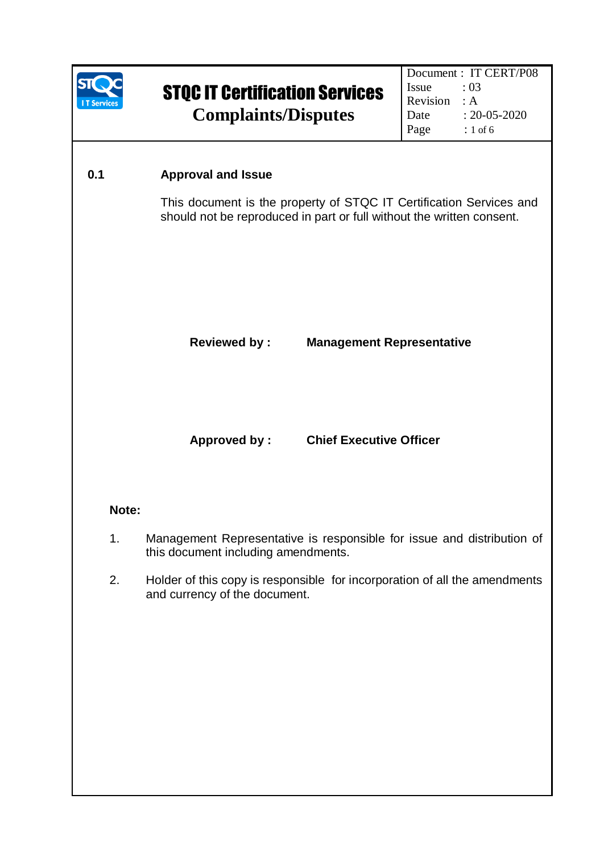

#### **0.1 Approval and Issue**

This document is the property of STQC IT Certification Services and should not be reproduced in part or full without the written consent.

#### **Reviewed by : Management Representative**

**Approved by : Chief Executive Officer** 

#### **Note:**

- 1. Management Representative is responsible for issue and distribution of this document including amendments.
- 2. Holder of this copy is responsible for incorporation of all the amendments and currency of the document.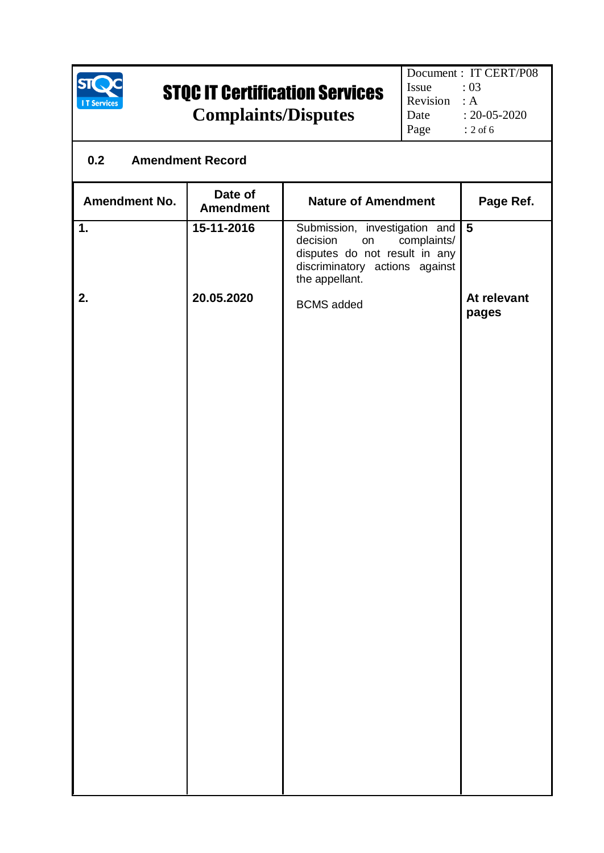

## STQC IT Certification Services

**Complaints/Disputes**

# **0.2 Amendment Record** Amendment No. **Date of Amendment No. Amendment Amendment Nature of Amendment Page Ref. 1. 2. 15-11-2016 20.05.2020** Submission, investigation and<br>decision on complaints/ complaints/ disputes do not result in any discriminatory actions against the appellant. BCMS added **5 At relevant pages**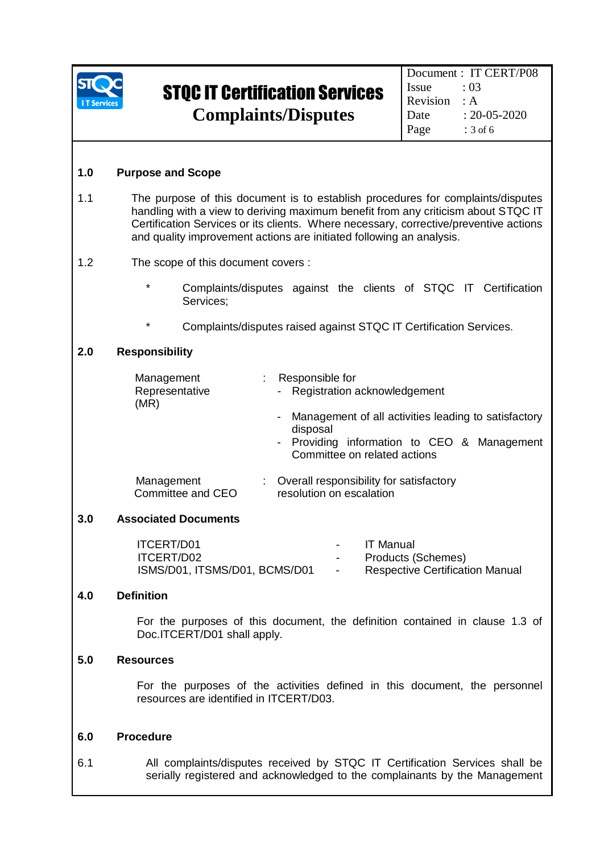

Document : IT CERT/P08 Issue : 03 Revision : A Date : 20-05-2020 Page : 3 of 6

### **1.0 Purpose and Scope**

1.1 The purpose of this document is to establish procedures for complaints/disputes handling with a view to deriving maximum benefit from any criticism about STQC IT Certification Services or its clients. Where necessary, corrective/preventive actions and quality improvement actions are initiated following an analysis.

#### 1.2 The scope of this document covers :

- \* Complaints/disputes against the clients of STQC IT Certification Services;
- Complaints/disputes raised against STQC IT Certification Services.

#### **2.0 Responsibility**

| Management<br>Representative<br>(MR) | : Responsible for<br>- Registration acknowledgement                                                                                               |  |  |
|--------------------------------------|---------------------------------------------------------------------------------------------------------------------------------------------------|--|--|
|                                      | - Management of all activities leading to satisfactory<br>disposal<br>- Providing information to CEO & Management<br>Committee on related actions |  |  |
| Management<br>Committee and CEO      | Overall responsibility for satisfactory<br>resolution on escalation                                                                               |  |  |

#### **3.0 Associated Documents**

| ITCERT/D01                    | $ -$          | IT Manual                              |
|-------------------------------|---------------|----------------------------------------|
| ITCERT/D02                    | $\sim$ $\sim$ | Products (Schemes)                     |
| ISMS/D01, ITSMS/D01, BCMS/D01 | $\sim$        | <b>Respective Certification Manual</b> |

#### **4.0 Definition**

For the purposes of this document, the definition contained in clause 1.3 of Doc.ITCERT/D01 shall apply.

#### **5.0 Resources**

For the purposes of the activities defined in this document, the personnel resources are identified in ITCERT/D03.

#### **6.0 Procedure**

6.1 All complaints/disputes received by STQC IT Certification Services shall be serially registered and acknowledged to the complainants by the Management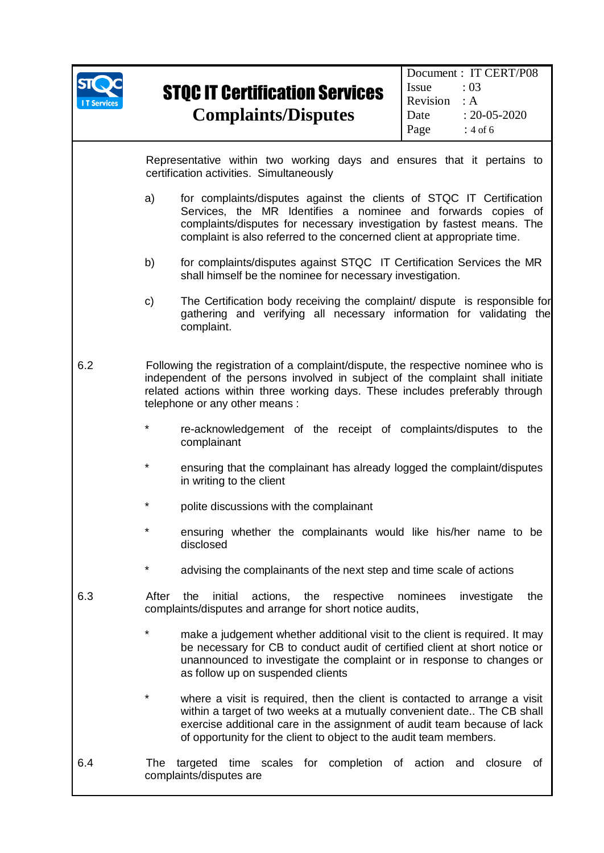

Representative within two working days and ensures that it pertains to certification activities. Simultaneously

- a) for complaints/disputes against the clients of STQC IT Certification Services, the MR Identifies a nominee and forwards copies of complaints/disputes for necessary investigation by fastest means. The complaint is also referred to the concerned client at appropriate time.
- b) for complaints/disputes against STQC IT Certification Services the MR shall himself be the nominee for necessary investigation.
- c) The Certification body receiving the complaint/ dispute is responsible for gathering and verifying all necessary information for validating the complaint.
- 6.2 Following the registration of a complaint/dispute, the respective nominee who is independent of the persons involved in subject of the complaint shall initiate related actions within three working days. These includes preferably through telephone or any other means :
	- re-acknowledgement of the receipt of complaints/disputes to the complainant
	- ensuring that the complainant has already logged the complaint/disputes in writing to the client
	- polite discussions with the complainant
	- ensuring whether the complainants would like his/her name to be disclosed
	- advising the complainants of the next step and time scale of actions
- 6.3 After the initial actions, the respective nominees investigate the complaints/disputes and arrange for short notice audits,
	- make a judgement whether additional visit to the client is required. It may be necessary for CB to conduct audit of certified client at short notice or unannounced to investigate the complaint or in response to changes or as follow up on suspended clients
	- where a visit is required, then the client is contacted to arrange a visit within a target of two weeks at a mutually convenient date.. The CB shall exercise additional care in the assignment of audit team because of lack of opportunity for the client to object to the audit team members.
- 6.4 The targeted time scales for completion of action and closure of complaints/disputes are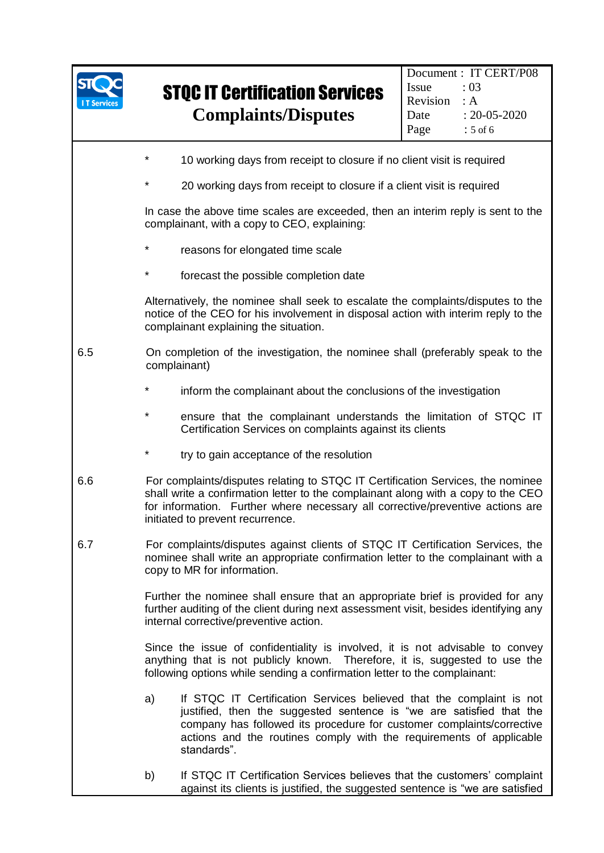| <b>Services</b> |                                                                                                                                                                                                                                           | <b>STQC IT Certification Services</b><br><b>Complaints/Disputes</b>                                                                                                                                                                                                                                         | Document: IT CERT/P08<br>Issue<br>:03<br>Revision<br>: A<br>$: 20 - 05 - 2020$<br>Date<br>Page<br>$: 5$ of 6 |  |  |  |
|-----------------|-------------------------------------------------------------------------------------------------------------------------------------------------------------------------------------------------------------------------------------------|-------------------------------------------------------------------------------------------------------------------------------------------------------------------------------------------------------------------------------------------------------------------------------------------------------------|--------------------------------------------------------------------------------------------------------------|--|--|--|
|                 | $\star$<br>10 working days from receipt to closure if no client visit is required                                                                                                                                                         |                                                                                                                                                                                                                                                                                                             |                                                                                                              |  |  |  |
|                 | *                                                                                                                                                                                                                                         | 20 working days from receipt to closure if a client visit is required                                                                                                                                                                                                                                       |                                                                                                              |  |  |  |
|                 | In case the above time scales are exceeded, then an interim reply is sent to the<br>complainant, with a copy to CEO, explaining:                                                                                                          |                                                                                                                                                                                                                                                                                                             |                                                                                                              |  |  |  |
|                 | $^\star$<br>reasons for elongated time scale                                                                                                                                                                                              |                                                                                                                                                                                                                                                                                                             |                                                                                                              |  |  |  |
|                 | $^\star$<br>forecast the possible completion date                                                                                                                                                                                         |                                                                                                                                                                                                                                                                                                             |                                                                                                              |  |  |  |
|                 | Alternatively, the nominee shall seek to escalate the complaints/disputes to the<br>notice of the CEO for his involvement in disposal action with interim reply to the<br>complainant explaining the situation.                           |                                                                                                                                                                                                                                                                                                             |                                                                                                              |  |  |  |
| 6.5             | On completion of the investigation, the nominee shall (preferably speak to the<br>complainant)                                                                                                                                            |                                                                                                                                                                                                                                                                                                             |                                                                                                              |  |  |  |
|                 | $^\star$<br>inform the complainant about the conclusions of the investigation<br>$^\star$<br>ensure that the complainant understands the limitation of STQC IT<br>Certification Services on complaints against its clients                |                                                                                                                                                                                                                                                                                                             |                                                                                                              |  |  |  |
|                 |                                                                                                                                                                                                                                           |                                                                                                                                                                                                                                                                                                             |                                                                                                              |  |  |  |
|                 | $^\star$                                                                                                                                                                                                                                  | try to gain acceptance of the resolution                                                                                                                                                                                                                                                                    |                                                                                                              |  |  |  |
| 6.6             |                                                                                                                                                                                                                                           | For complaints/disputes relating to STQC IT Certification Services, the nominee<br>shall write a confirmation letter to the complainant along with a copy to the CEO<br>for information. Further where necessary all corrective/preventive actions are<br>initiated to prevent recurrence.                  |                                                                                                              |  |  |  |
| 6.7             |                                                                                                                                                                                                                                           | For complaints/disputes against clients of STQC IT Certification Services, the<br>nominee shall write an appropriate confirmation letter to the complainant with a<br>copy to MR for information.                                                                                                           |                                                                                                              |  |  |  |
|                 | Further the nominee shall ensure that an appropriate brief is provided for any<br>further auditing of the client during next assessment visit, besides identifying any<br>internal corrective/preventive action.                          |                                                                                                                                                                                                                                                                                                             |                                                                                                              |  |  |  |
|                 | Since the issue of confidentiality is involved, it is not advisable to convey<br>anything that is not publicly known. Therefore, it is, suggested to use the<br>following options while sending a confirmation letter to the complainant: |                                                                                                                                                                                                                                                                                                             |                                                                                                              |  |  |  |
|                 | a)                                                                                                                                                                                                                                        | If STQC IT Certification Services believed that the complaint is not<br>justified, then the suggested sentence is "we are satisfied that the<br>company has followed its procedure for customer complaints/corrective<br>actions and the routines comply with the requirements of applicable<br>standards". |                                                                                                              |  |  |  |
|                 | b)                                                                                                                                                                                                                                        | If STQC IT Certification Services believes that the customers' complaint<br>against its clients is justified, the suggested sentence is "we are satisfied                                                                                                                                                   |                                                                                                              |  |  |  |

T

5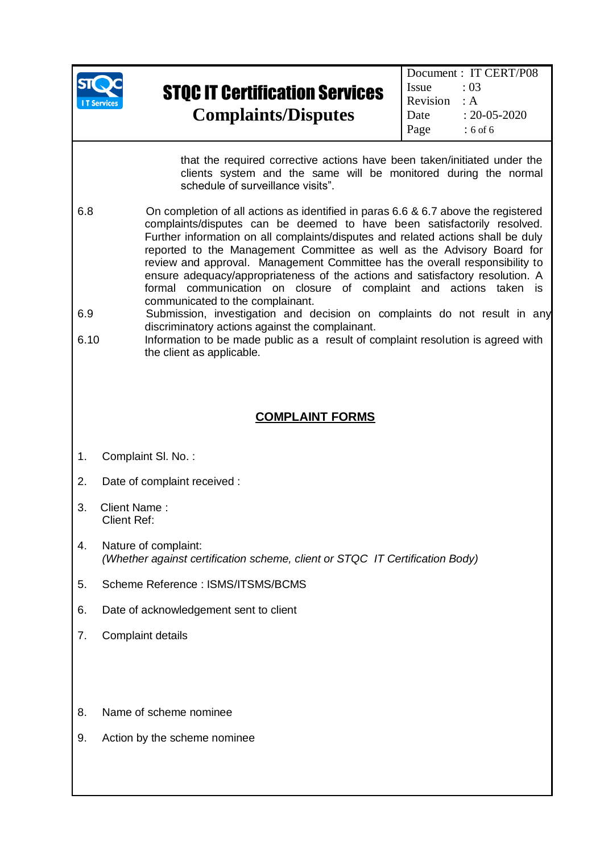

Document : IT CERT/P08 Issue  $: 03$ Revision : A Date : 20-05-2020 Page : 6 of 6

that the required corrective actions have been taken/initiated under the clients system and the same will be monitored during the normal schedule of surveillance visits".

- 6.8 On completion of all actions as identified in paras 6.6 & 6.7 above the registered complaints/disputes can be deemed to have been satisfactorily resolved. Further information on all complaints/disputes and related actions shall be duly reported to the Management Committee as well as the Advisory Board for review and approval. Management Committee has the overall responsibility to ensure adequacy/appropriateness of the actions and satisfactory resolution. A formal communication on closure of complaint and actions taken is communicated to the complainant.
- 6.9 Submission, investigation and decision on complaints do not result in any discriminatory actions against the complainant.
- 6.10 Information to be made public as a result of complaint resolution is agreed with the client as applicable.

#### **COMPLAINT FORMS**

- 1. Complaint Sl. No. :
- 2. Date of complaint received :
- 3. Client Name : Client Ref:
- 4. Nature of complaint: *(Whether against certification scheme, client or STQC IT Certification Body)*
- 5. Scheme Reference : ISMS/ITSMS/BCMS
- 6. Date of acknowledgement sent to client
- 7. Complaint details
- 8. Name of scheme nominee
- 9. Action by the scheme nominee